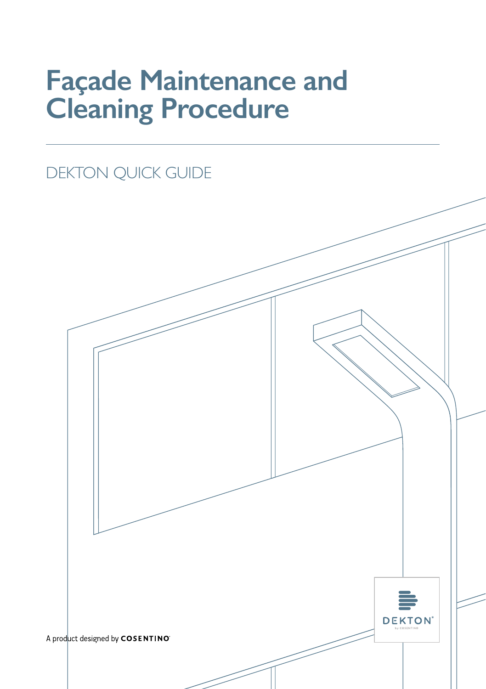# **Façade Maintenance and Cleaning Procedure**

**DEKTON QUICK GUIDE** 

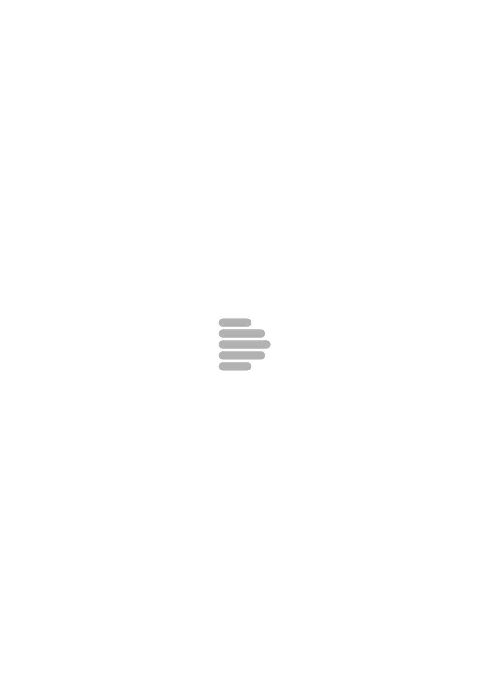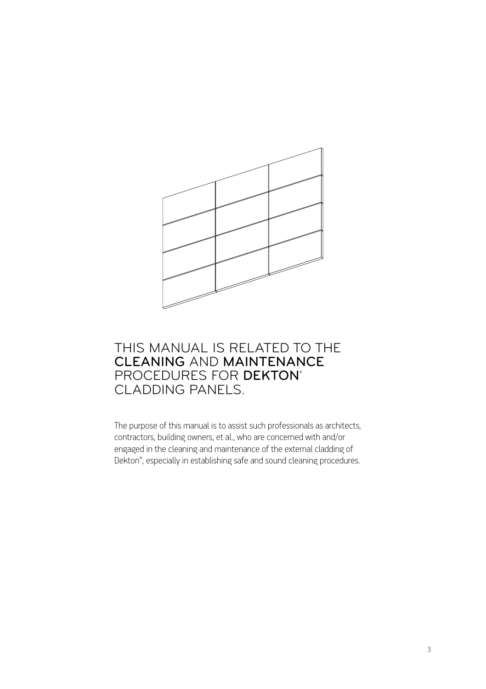

#### THIS MANUAL IS RELATED TO THE CLEANING AND MAINTENANCE PROCEDURES FOR DEKTON® CLADDING PANELS.

The purpose of this manual is to assist such professionals as architects, contractors, building owners, et al., who are concerned with and/or engaged in the cleaning and maintenance of the external cladding of Dekton®, especially in establishing safe and sound cleaning procedures.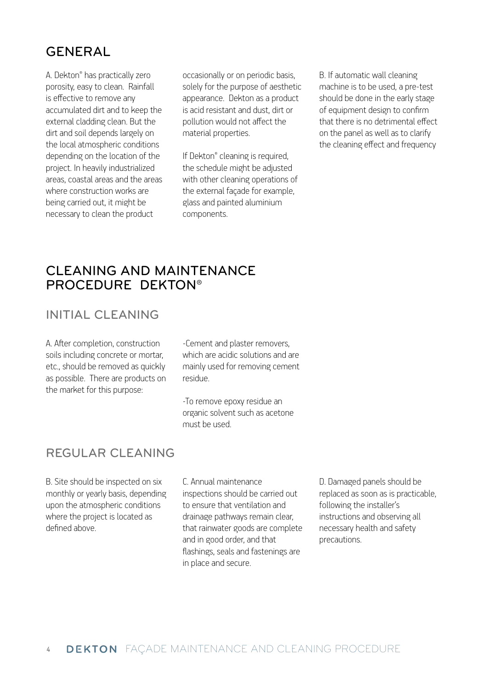### **GENERAL**

A. Dekton® has practically zero porosity, easy to clean. Rainfall is effective to remove any accumulated dirt and to keep the external cladding clean. But the dirt and soil depends largely on the local atmospheric conditions depending on the location of the project. In heavily industrialized areas, coastal areas and the areas where construction works are being carried out, it might be necessary to clean the product

occasionally or on periodic basis, solely for the purpose of aesthetic appearance. Dekton as a product is acid resistant and dust, dirt or pollution would not affect the material properties.

If Dekton<sup>®</sup> cleaning is required, the schedule might be adjusted with other cleaning operations of the external façade for example, glass and painted aluminium components.

B. If automatic wall cleaning machine is to be used, a pre-test should be done in the early stage of equipment design to confirm that there is no detrimental effect on the panel as well as to clarify the cleaning effect and frequency

## CLEANING AND MAINTENANCE PROCEDURE DEKTON®

#### INITIAL CLEANING

A. After completion, construction soils including concrete or mortar, etc., should be removed as quickly as possible. There are products on the market for this purpose:

-Cement and plaster removers, which are acidic solutions and are mainly used for removing cement residue.

-To remove epoxy residue an organic solvent such as acetone must be used.

#### REGULAR CLEANING

B. Site should be inspected on six monthly or yearly basis, depending upon the atmospheric conditions where the project is located as defined above.

C. Annual maintenance inspections should be carried out to ensure that ventilation and drainage pathways remain clear, that rainwater goods are complete and in good order, and that flashings, seals and fastenings are in place and secure.

D. Damaged panels should be replaced as soon as is practicable, following the installer's instructions and observing all necessary health and safety precautions.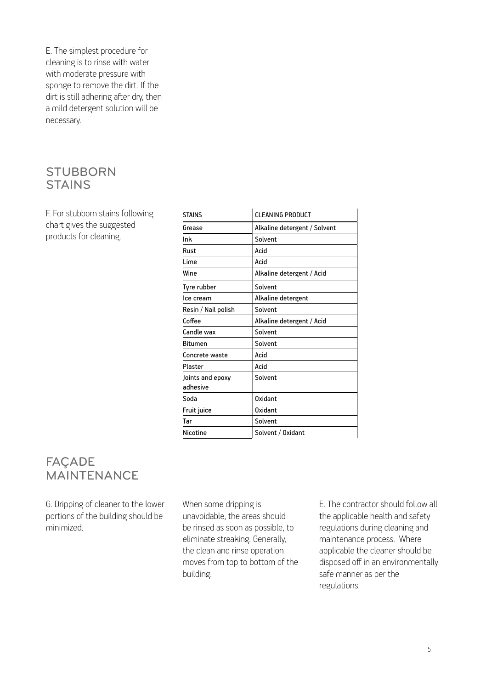E. The simplest procedure for cleaning is to rinse with water with moderate pressure with sponge to remove the dirt. If the dirt is still adhering after dry, then a mild detergent solution will be necessary.

#### **STUBBORN STAINS**

F. For stubborn stains following chart gives the suggested products for cleaning.

| <b>STAINS</b>       | <b>CLEANING PRODUCT</b>      |
|---------------------|------------------------------|
| Grease              | Alkaline detergent / Solvent |
| Ink                 | Solvent                      |
| Rust                | Acid                         |
| Lime                | Acid                         |
| Wine                | Alkaline detergent / Acid    |
| Tyre rubber         | Solvent                      |
| lce cream           | Alkaline detergent           |
| Resin / Nail polish | Solvent                      |
| Coffee              | Alkaline detergent / Acid    |
| Candle wax          | Solvent                      |
| Bitumen             | Solvent                      |
| Concrete waste      | Acid                         |
| Plaster             | Acid                         |
| Joints and epoxy    | Solvent                      |
| adhesive            |                              |
| Soda                | Oxidant                      |
| Fruit juice         | Oxidant                      |
| Tar                 | Solvent                      |
| Nicotine            | Solvent / Oxidant            |

### **FACADE MAINTENANCE**

G. Dripping of cleaner to the lower portions of the building should be minimized.

When some dripping is unavoidable, the areas should be rinsed as soon as possible, to eliminate streaking. Generally, the clean and rinse operation moves from top to bottom of the building.

E. The contractor should follow all the applicable health and safety regulations during cleaning and maintenance process. Where applicable the cleaner should be disposed off in an environmentally safe manner as per the regulations.